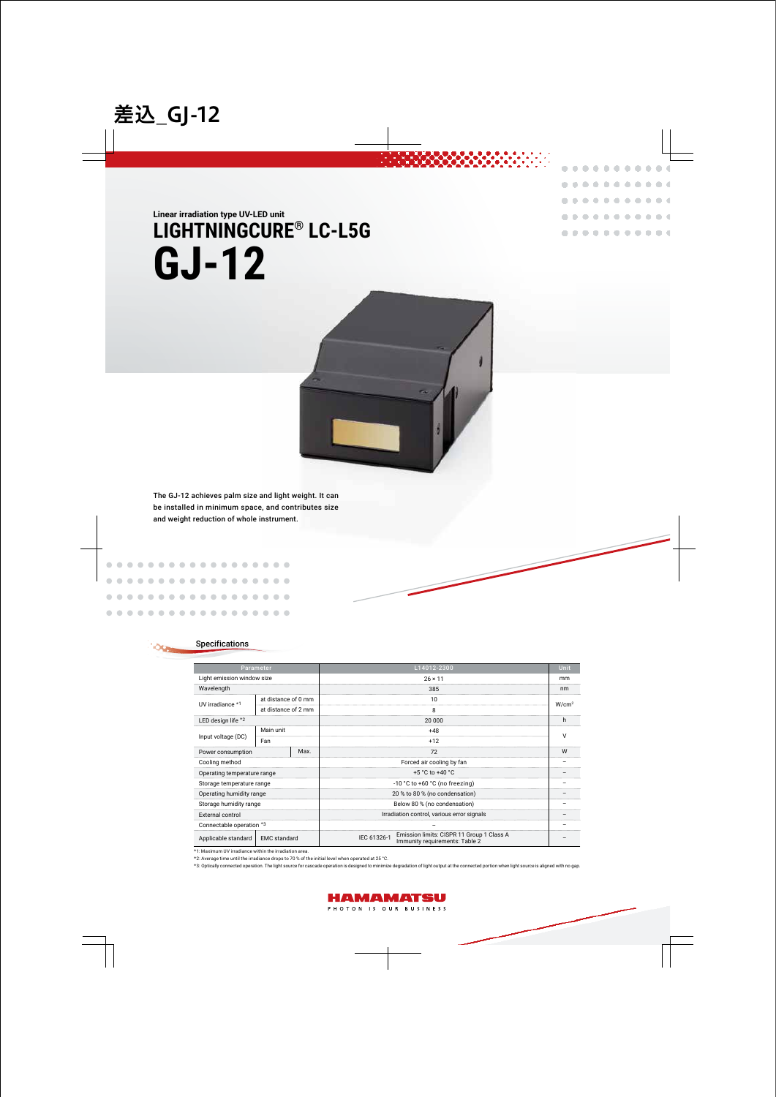# GJ-12 LIGHTNINGCURE<sup>®</sup> LC-L5G **Linear irradiation type UV-LED unit**



. . . . . . . . . .  $\mathbf{0}$  $\triangle$  $\triangle$ 

> $\sim$  $\sim$  $\sim$

**COL**  $\sim$ 

**CO** 

**COL COL**  di.

alla.

 $0 - 0$ 

 $\sim$ 

The GJ-12 achieves palm size and light weight. It can be installed in minimum space, and contributes size and weight reduction of whole instrument.

. . . . . . . . . .

. . . . . . . . . .

. . . . . . . .

. . . . . . . . . . .

## Specifications

 $\bigcirc$  $\sqrt{2}$  $\bigcirc$ 

> $\sqrt{2}$  $\triangle$  $\sqrt{2}$  $\begin{array}{c} \begin{array}{c} \begin{array}{c} \begin{array}{c} \end{array} \end{array} \end{array} \end{array} \end{array}$  $\begin{array}{c} \begin{array}{c} \begin{array}{c} \begin{array}{c} \end{array} \end{array} \end{array} \end{array} \end{array}$

 $\sqrt{2}$  $\sqrt{2}$ 

> œ  $\bigcirc$  $\qquad \qquad \Box$

 $\blacksquare$ 

 $\sqrt{2}$ 

| Parameter                                  |                     |      | L14012-2300                                                                                | Unit              |
|--------------------------------------------|---------------------|------|--------------------------------------------------------------------------------------------|-------------------|
| Light emission window size                 |                     |      | $26 \times 11$                                                                             | mm                |
| Wavelength                                 |                     |      | 385                                                                                        | nm                |
| UV irradiance *1                           | at distance of 0 mm |      | 10                                                                                         | W/cm <sup>2</sup> |
|                                            | at distance of 2 mm |      | 8                                                                                          |                   |
| LED design life *2                         |                     |      | 20 000                                                                                     | h.                |
| Input voltage (DC)                         | Main unit           |      | $+48$                                                                                      | $\vee$            |
|                                            | Fan                 |      | $+12$                                                                                      |                   |
| Power consumption                          |                     | Max. | 72                                                                                         | W                 |
| Cooling method                             |                     |      | Forced air cooling by fan                                                                  |                   |
| Operating temperature range                |                     |      | +5 $^{\circ}$ C to +40 $^{\circ}$ C                                                        |                   |
| Storage temperature range                  |                     |      | $-10$ °C to $+60$ °C (no freezing)                                                         |                   |
| Operating humidity range                   |                     |      | 20 % to 80 % (no condensation)                                                             |                   |
| Storage humidity range                     |                     |      | Below 80 % (no condensation)                                                               |                   |
| External control                           |                     |      | Irradiation control, various error signals                                                 |                   |
| Connectable operation *3                   |                     |      |                                                                                            |                   |
| <b>EMC</b> standard<br>Applicable standard |                     |      | Emission limits: CISPR 11 Group 1 Class A<br>IEC 61326-1<br>Immunity requirements: Table 2 |                   |

 $*$ 1: Maximum UV irradiance within the irradiation area.

\*2: Average time until the irradiance drops to 70 % of the initial level when operated at 25 °C.

\*3: Optically connected operation. The light source for cascade operation is designed to minimize degradation of light output at the connected portion when light source is aligned with no gap.